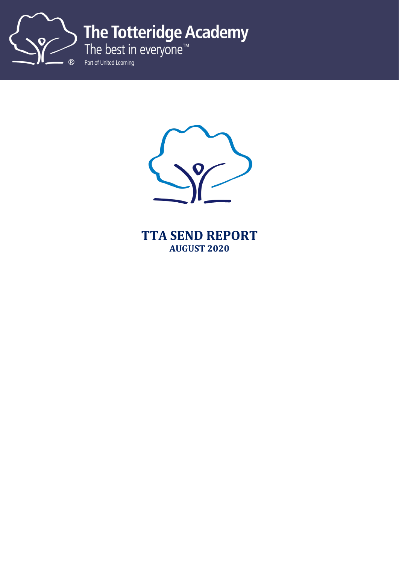

The Totteridge Academy<br>The best in everyone™<br>Part of United Learning



**TTA SEND REPORT AUGUST 2020**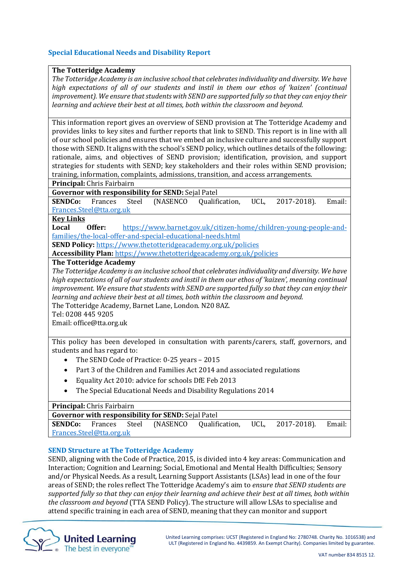# **Special Educational Needs and Disability Report**

### **The Totteridge Academy**

*The Totteridge Academy is an inclusive school that celebrates individuality and diversity. We have high expectations of all of our students and instil in them our ethos of 'kaizen' (continual improvement). We ensure that students with SEND are supported fully so that they can enjoy their learning and achieve their best at all times, both within the classroom and beyond.* 

This information report gives an overview of SEND provision at The Totteridge Academy and provides links to key sites and further reports that link to SEND. This report is in line with all of our school policies and ensures that we embed an inclusive culture and successfully support those with SEND. It aligns with the school's SEND policy, which outlines details of the following: rationale, aims, and objectives of SEND provision; identification, provision, and support strategies for students with SEND; key stakeholders and their roles within SEND provision; training, information, complaints, admissions, transition, and access arrangements.

**Principal:** Chris Fairbairn

**Governor with responsibility for SEND:** Sejal Patel

**SENDCo:** Frances Steel (NASENCO Qualification, UCL, 2017-2018). Email: [Frances.Steel@tta.org.uk](mailto:Frances.Steel@tta.org.uk)

#### **Key Links**

**Local Offer:** [https://www.barnet.gov.uk/citizen-home/children-young-people-and](https://www.barnet.gov.uk/citizen-home/children-young-people-and-families/the-local-offer-and-special-educational-needs.html)[families/the-local-offer-and-special-educational-needs.html](https://www.barnet.gov.uk/citizen-home/children-young-people-and-families/the-local-offer-and-special-educational-needs.html)

**SEND Policy:** <https://www.thetotteridgeacademy.org.uk/policies>

**Accessibility Plan:** <https://www.thetotteridgeacademy.org.uk/policies>

# **The Totteridge Academy**

*The Totteridge Academy is an inclusive school that celebrates individuality and diversity. We have high expectations of all of our students and instil in them our ethos of 'kaizen', meaning continual improvement. We ensure that students with SEND are supported fully so that they can enjoy their learning and achieve their best at all times, both within the classroom and beyond.*  The Totteridge Academy, Barnet Lane, London. N20 8AZ.

Tel: 0208 445 9205

Email: office@tta.org.uk

This policy has been developed in consultation with parents/carers, staff, governors, and students and has regard to:

- The SEND Code of Practice: 0-25 years 2015
- Part 3 of the Children and Families Act 2014 and associated regulations
- Equality Act 2010: advice for schools DfE Feb 2013
- The Special Educational Needs and Disability Regulations 2014

#### **Principal:** Chris Fairbairn

| <b>Governor with responsibility for SEND:</b> Sejal Patel |  |  |  |                                                                              |  |  |  |
|-----------------------------------------------------------|--|--|--|------------------------------------------------------------------------------|--|--|--|
|                                                           |  |  |  | <b>SENDCo:</b> Frances Steel (NASENCO Qualification, UCL, 2017-2018). Email: |  |  |  |
| Frances.Steel@tta.org.uk                                  |  |  |  |                                                                              |  |  |  |

# **SEND Structure at The Totteridge Academy**

SEND, aligning with the Code of Practice, 2015, is divided into 4 key areas: Communication and Interaction; Cognition and Learning; Social, Emotional and Mental Health Difficulties; Sensory and/or Physical Needs. As a result, Learning Support Assistants (LSAs) lead in one of the four areas of SEND; the roles reflect The Totteridge Academy's aim to *ensure that SEND students are supported fully so that they can enjoy their learning and achieve their best at all times, both within the classroom and beyond* (TTA SEND Policy). The structure will allow LSAs to specialise and attend specific training in each area of SEND, meaning that they can monitor and support

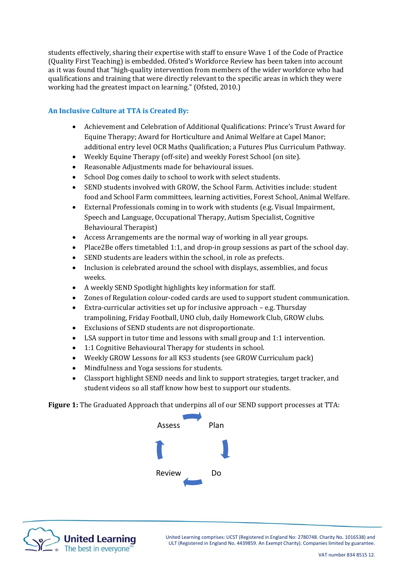students effectively, sharing their expertise with staff to ensure Wave 1 of the Code of Practice (Quality First Teaching) is embedded. Ofsted's Workforce Review has been taken into account as it was found that "high-quality intervention from members of the wider workforce who had qualifications and training that were directly relevant to the specific areas in which they were working had the greatest impact on learning." (Ofsted, 2010.)

# **An Inclusive Culture at TTA is Created By:**

- Achievement and Celebration of Additional Qualifications: Prince's Trust Award for Equine Therapy; Award for Horticulture and Animal Welfare at Capel Manor; additional entry level OCR Maths Qualification; a Futures Plus Curriculum Pathway.
- Weekly Equine Therapy (off-site) and weekly Forest School (on site).
- Reasonable Adjustments made for behavioural issues.
- School Dog comes daily to school to work with select students.
- SEND students involved with GROW, the School Farm. Activities include: student food and School Farm committees, learning activities, Forest School, Animal Welfare.
- External Professionals coming in to work with students (e.g. Visual Impairment, Speech and Language, Occupational Therapy, Autism Specialist, Cognitive Behavioural Therapist)
- Access Arrangements are the normal way of working in all year groups.
- Place2Be offers timetabled 1:1, and drop-in group sessions as part of the school day.
- SEND students are leaders within the school, in role as prefects.
- Inclusion is celebrated around the school with displays, assemblies, and focus weeks.
- A weekly SEND Spotlight highlights key information for staff.
- Zones of Regulation colour-coded cards are used to support student communication.
- Extra-curricular activities set up for inclusive approach e.g. Thursday trampolining, Friday Football, UNO club, daily Homework Club, GROW clubs.
- Exclusions of SEND students are not disproportionate.
- LSA support in tutor time and lessons with small group and 1:1 intervention.
- 1:1 Cognitive Behavioural Therapy for students in school.
- Weekly GROW Lessons for all KS3 students (see GROW Curriculum pack)
- Mindfulness and Yoga sessions for students.
- Classport highlight SEND needs and link to support strategies, target tracker, and student videos so all staff know how best to support our students.

**Figure 1:** The Graduated Approach that underpins all of our SEND support processes at TTA:





United Learning comprises: UCST (Registered in England No: 2780748. Charity No. 1016538) and ULT (Registered in England No. 4439859. An Exempt Charity). Companies limited by guarantee.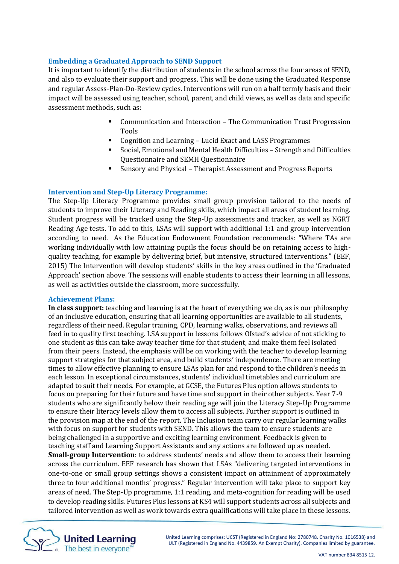# **Embedding a Graduated Approach to SEND Support**

It is important to identify the distribution of students in the school across the four areas of SEND, and also to evaluate their support and progress. This will be done using the Graduated Response and regular Assess-Plan-Do-Review cycles. Interventions will run on a half termly basis and their impact will be assessed using teacher, school, parent, and child views, as well as data and specific assessment methods, such as:

- Communication and Interaction The Communication Trust Progression Tools
- Cognition and Learning Lucid Exact and LASS Programmes
- Social, Emotional and Mental Health Difficulties Strength and Difficulties Questionnaire and SEMH Questionnaire
- Sensory and Physical Therapist Assessment and Progress Reports

### **Intervention and Step-Up Literacy Programme:**

The Step-Up Literacy Programme provides small group provision tailored to the needs of students to improve their Literacy and Reading skills, which impact all areas of student learning. Student progress will be tracked using the Step-Up assessments and tracker, as well as NGRT Reading Age tests. To add to this, LSAs will support with additional 1:1 and group intervention according to need. As the Education Endowment Foundation recommends: "Where TAs are working individually with low attaining pupils the focus should be on retaining access to highquality teaching, for example by delivering brief, but intensive, structured interventions." (EEF, 2015) The Intervention will develop students' skills in the key areas outlined in the 'Graduated Approach' section above. The sessions will enable students to access their learning in all lessons, as well as activities outside the classroom, more successfully.

#### **Achievement Plans:**

**In class support:** teaching and learning is at the heart of everything we do, as is our philosophy of an inclusive education, ensuring that all learning opportunities are available to all students, regardless of their need. Regular training, CPD, learning walks, observations, and reviews all feed in to quality first teaching. LSA support in lessons follows Ofsted's advice of not sticking to one student as this can take away teacher time for that student, and make them feel isolated from their peers. Instead, the emphasis will be on working with the teacher to develop learning support strategies for that subject area, and build students' independence. There are meeting times to allow effective planning to ensure LSAs plan for and respond to the children's needs in each lesson. In exceptional circumstances, students' individual timetables and curriculum are adapted to suit their needs. For example, at GCSE, the Futures Plus option allows students to focus on preparing for their future and have time and support in their other subjects. Year 7-9 students who are significantly below their reading age will join the Literacy Step-Up Programme to ensure their literacy levels allow them to access all subjects. Further support is outlined in the provision map at the end of the report. The Inclusion team carry our regular learning walks with focus on support for students with SEND. This allows the team to ensure students are being challenged in a supportive and exciting learning environment. Feedback is given to teaching staff and Learning Support Assistants and any actions are followed up as needed. **Small-group Intervention**: to address students' needs and allow them to access their learning across the curriculum. EEF research has shown that LSAs "delivering targeted interventions in one-to-one or small group settings shows a consistent impact on attainment of approximately three to four additional months' progress." Regular intervention will take place to support key areas of need. The Step-Up programme, 1:1 reading, and meta-cognition for reading will be used to develop reading skills. Futures Plus lessons at KS4 will support students across all subjects and tailored intervention as well as work towards extra qualifications will take place in these lessons.



United Learning comprises: UCST (Registered in England No: 2780748. Charity No. 1016538) and ULT (Registered in England No. 4439859. An Exempt Charity). Companies limited by guarantee.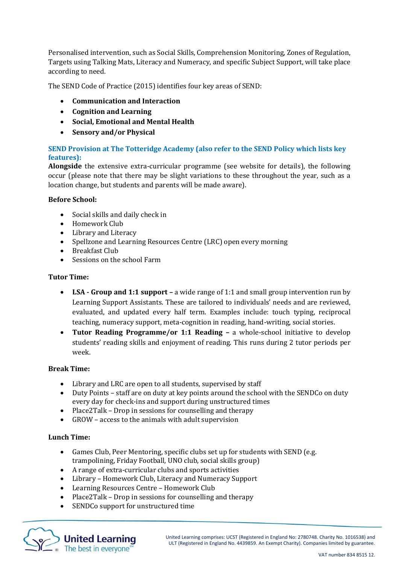Personalised intervention, such as Social Skills, Comprehension Monitoring, Zones of Regulation, Targets using Talking Mats, Literacy and Numeracy, and specific Subject Support, will take place according to need.

The SEND Code of Practice (2015) identifies four key areas of SEND:

- **Communication and Interaction**
- **Cognition and Learning**
- **Social, Emotional and Mental Health**
- **Sensory and/or Physical**

# **SEND Provision at The Totteridge Academy (also refer to the SEND Policy which lists key features):**

**Alongside** the extensive extra-curricular programme (see website for details), the following occur (please note that there may be slight variations to these throughout the year, such as a location change, but students and parents will be made aware).

### **Before School:**

- Social skills and daily check in
- Homework Club
- Library and Literacy
- Spellzone and Learning Resources Centre (LRC) open every morning
- Breakfast Club
- Sessions on the school Farm

### **Tutor Time:**

- **LSA - Group and 1:1 support –** a wide range of 1:1 and small group intervention run by Learning Support Assistants. These are tailored to individuals' needs and are reviewed, evaluated, and updated every half term. Examples include: touch typing, reciprocal teaching, numeracy support, meta-cognition in reading, hand-writing, social stories.
- **Tutor Reading Programme/or 1:1 Reading –** a whole-school initiative to develop students' reading skills and enjoyment of reading. This runs during 2 tutor periods per week.

#### **Break Time:**

- Library and LRC are open to all students, supervised by staff
- Duty Points staff are on duty at key points around the school with the SENDCo on duty every day for check-ins and support during unstructured times
- Place2Talk Drop in sessions for counselling and therapy
- GROW access to the animals with adult supervision

# **Lunch Time:**

- Games Club, Peer Mentoring, specific clubs set up for students with SEND (e.g. trampolining, Friday Football, UNO club, social skills group)
- A range of extra-curricular clubs and sports activities
- Library Homework Club, Literacy and Numeracy Support
- Learning Resources Centre Homework Club
- Place2Talk Drop in sessions for counselling and therapy
- SENDCo support for unstructured time

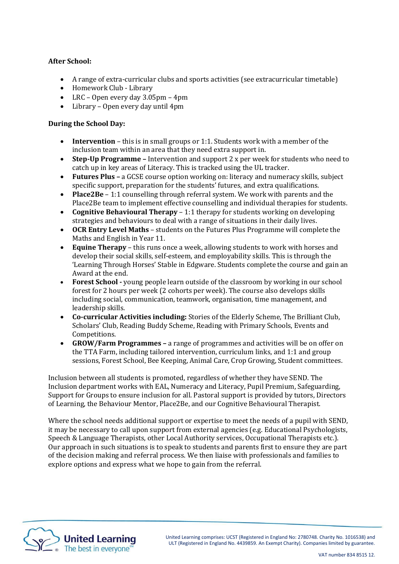# **After School:**

- A range of extra-curricular clubs and sports activities (see extracurricular timetable)
- Homework Club Library
- LRC Open every day 3.05pm 4pm
- Library Open every day until 4pm

# **During the School Day:**

- **Intervention**  this is in small groups or 1:1. Students work with a member of the inclusion team within an area that they need extra support in.
- **Step-Up Programme –** Intervention and support 2 x per week for students who need to catch up in key areas of Literacy. This is tracked using the UL tracker.
- **Futures Plus –** a GCSE course option working on: literacy and numeracy skills, subject specific support, preparation for the students' futures, and extra qualifications.
- **Place2Be**  1:1 counselling through referral system. We work with parents and the Place2Be team to implement effective counselling and individual therapies for students.
- **Cognitive Behavioural Therapy**  1:1 therapy for students working on developing strategies and behaviours to deal with a range of situations in their daily lives.
- **OCR Entry Level Maths** students on the Futures Plus Programme will complete the Maths and English in Year 11.
- **Equine Therapy**  this runs once a week, allowing students to work with horses and develop their social skills, self-esteem, and employability skills. This is through the 'Learning Through Horses' Stable in Edgware. Students complete the course and gain an Award at the end.
- **Forest School -** young people learn outside of the classroom by working in our school forest for 2 hours per week (2 cohorts per week). The course also develops skills including social, communication, teamwork, organisation, time management, and leadership skills.
- **Co-curricular Activities including:** Stories of the Elderly Scheme, The Brilliant Club, Scholars' Club, Reading Buddy Scheme, Reading with Primary Schools, Events and Competitions.
- **GROW/Farm Programmes –** a range of programmes and activities will be on offer on the TTA Farm, including tailored intervention, curriculum links, and 1:1 and group sessions, Forest School, Bee Keeping, Animal Care, Crop Growing, Student committees.

Inclusion between all students is promoted, regardless of whether they have SEND. The Inclusion department works with EAL, Numeracy and Literacy, Pupil Premium, Safeguarding, Support for Groups to ensure inclusion for all. Pastoral support is provided by tutors, Directors of Learning, the Behaviour Mentor, Place2Be, and our Cognitive Behavioural Therapist.

Where the school needs additional support or expertise to meet the needs of a pupil with SEND, it may be necessary to call upon support from external agencies (e.g. Educational Psychologists, Speech & Language Therapists, other Local Authority services, Occupational Therapists etc.). Our approach in such situations is to speak to students and parents first to ensure they are part of the decision making and referral process. We then liaise with professionals and families to explore options and express what we hope to gain from the referral.

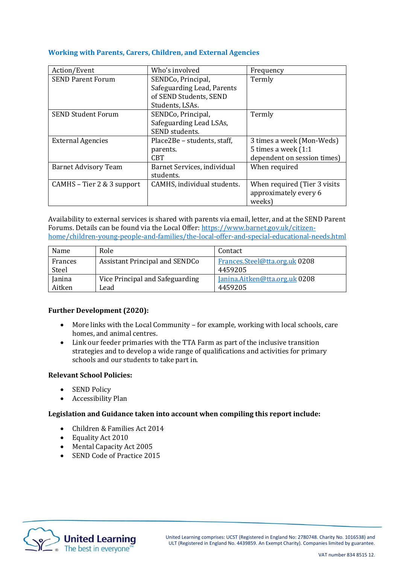## **Working with Parents, Carers, Children, and External Agencies**

| Action/Event                | Who's involved              | Frequency                    |
|-----------------------------|-----------------------------|------------------------------|
| <b>SEND Parent Forum</b>    | SENDCo, Principal,          | Termly                       |
|                             | Safeguarding Lead, Parents  |                              |
|                             | of SEND Students, SEND      |                              |
|                             | Students, LSAs.             |                              |
| <b>SEND Student Forum</b>   | SENDCo, Principal,          | Termly                       |
|                             | Safeguarding Lead LSAs,     |                              |
|                             | SEND students.              |                              |
| <b>External Agencies</b>    | Place2Be - students, staff, | 3 times a week (Mon-Weds)    |
|                             | parents.                    | 5 times a week (1:1)         |
|                             | <b>CBT</b>                  | dependent on session times)  |
| <b>Barnet Advisory Team</b> | Barnet Services, individual | When required                |
|                             | students.                   |                              |
| CAMHS - Tier 2 & 3 support  | CAMHS, individual students. | When required (Tier 3 visits |
|                             |                             | approximately every 6        |
|                             |                             | weeks                        |

Availability to external services is shared with parents via email, letter, and at the SEND Parent Forums. Details can be found via the Local Offer: [https://www.barnet.gov.uk/citizen](https://www.barnet.gov.uk/citizen-home/children-young-people-and-families/the-local-offer-and-special-educational-needs.html)[home/children-young-people-and-families/the-local-offer-and-special-educational-needs.html](https://www.barnet.gov.uk/citizen-home/children-young-people-and-families/the-local-offer-and-special-educational-needs.html)

| Name          | Role                                  | Contact                       |
|---------------|---------------------------------------|-------------------------------|
| Frances       | <b>Assistant Principal and SENDCo</b> | Frances.Steel@tta.org.uk 0208 |
| Steel         |                                       | 4459205                       |
| <b>Ianina</b> | Vice Principal and Safeguarding       | Janina.Aitken@tta.org.uk 0208 |
| Aitken        | Lead                                  | 4459205                       |

# **Further Development (2020):**

- More links with the Local Community for example, working with local schools, care homes, and animal centres.
- Link our feeder primaries with the TTA Farm as part of the inclusive transition strategies and to develop a wide range of qualifications and activities for primary schools and our students to take part in.

# **Relevant School Policies:**

- SEND Policy
- Accessibility Plan

# **Legislation and Guidance taken into account when compiling this report include:**

- Children & Families Act 2014
- Equality Act 2010
- Mental Capacity Act 2005
- SEND Code of Practice 2015

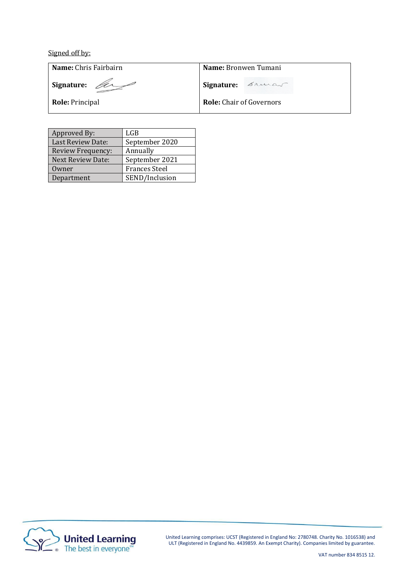Signed off by:

**Name:** Chris Fairbairn

**Signature:** 

**Role:** Principal

**Name:** Bronwen Tumani

**Signature:** Brucas

**Role:** Chair of Governors

| Approved By:             | LGB                  |
|--------------------------|----------------------|
| Last Review Date:        | September 2020       |
| Review Frequency:        | Annually             |
| <b>Next Review Date:</b> | September 2021       |
| Owner                    | <b>Frances Steel</b> |
| Department               | SEND/Inclusion       |



United Learning comprises: UCST (Registered in England No: 2780748. Charity No. 1016538) and ULT (Registered in England No. 4439859. An Exempt Charity). Companies limited by guarantee.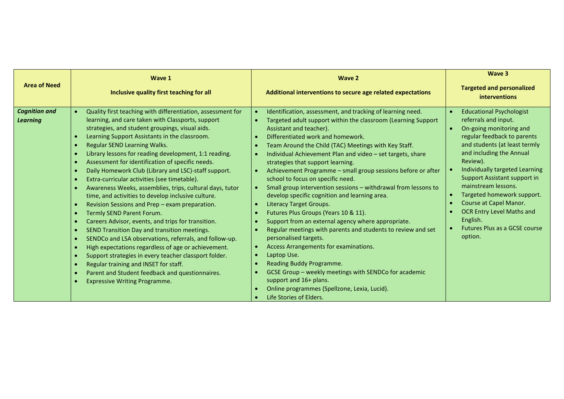| <b>Area of Need</b>                     | Wave 1                                                                                                                                                                                                                                                                                                                                                                                                                                                                                                                                                                                                                                                                                                                                                                                                                                                                                                                                                                                                                                                                                                                                                                                                                                                                                                                                   | Wave 2                                                                                                                                                                                                                                                                                                                                                                                                                                                                                                                                                                                                                                                                                                                                                                                                                                                                                                                                                                                                                                                                | Wave 3<br><b>Targeted and personalized</b>                                                                                                                                                                                                                                                                                                                                                                                              |
|-----------------------------------------|------------------------------------------------------------------------------------------------------------------------------------------------------------------------------------------------------------------------------------------------------------------------------------------------------------------------------------------------------------------------------------------------------------------------------------------------------------------------------------------------------------------------------------------------------------------------------------------------------------------------------------------------------------------------------------------------------------------------------------------------------------------------------------------------------------------------------------------------------------------------------------------------------------------------------------------------------------------------------------------------------------------------------------------------------------------------------------------------------------------------------------------------------------------------------------------------------------------------------------------------------------------------------------------------------------------------------------------|-----------------------------------------------------------------------------------------------------------------------------------------------------------------------------------------------------------------------------------------------------------------------------------------------------------------------------------------------------------------------------------------------------------------------------------------------------------------------------------------------------------------------------------------------------------------------------------------------------------------------------------------------------------------------------------------------------------------------------------------------------------------------------------------------------------------------------------------------------------------------------------------------------------------------------------------------------------------------------------------------------------------------------------------------------------------------|-----------------------------------------------------------------------------------------------------------------------------------------------------------------------------------------------------------------------------------------------------------------------------------------------------------------------------------------------------------------------------------------------------------------------------------------|
|                                         | Inclusive quality first teaching for all                                                                                                                                                                                                                                                                                                                                                                                                                                                                                                                                                                                                                                                                                                                                                                                                                                                                                                                                                                                                                                                                                                                                                                                                                                                                                                 | Additional interventions to secure age related expectations                                                                                                                                                                                                                                                                                                                                                                                                                                                                                                                                                                                                                                                                                                                                                                                                                                                                                                                                                                                                           | <b>interventions</b>                                                                                                                                                                                                                                                                                                                                                                                                                    |
| <b>Cognition and</b><br><b>Learning</b> | Quality first teaching with differentiation, assessment for<br>$\bullet$<br>learning, and care taken with Classports, support<br>strategies, and student groupings, visual aids.<br>Learning Support Assistants in the classroom.<br>$\bullet$<br>Regular SEND Learning Walks.<br>$\bullet$<br>Library lessons for reading development, 1:1 reading.<br>$\bullet$<br>Assessment for identification of specific needs.<br>$\bullet$<br>Daily Homework Club (Library and LSC)-staff support.<br>$\bullet$<br>Extra-curricular activities (see timetable).<br>$\bullet$<br>Awareness Weeks, assemblies, trips, cultural days, tutor<br>$\bullet$<br>time, and activities to develop inclusive culture.<br>Revision Sessions and Prep - exam preparation.<br>$\bullet$<br>Termly SEND Parent Forum.<br>$\bullet$<br>Careers Advisor, events, and trips for transition.<br>$\bullet$<br>SEND Transition Day and transition meetings.<br>$\bullet$<br>SENDCo and LSA observations, referrals, and follow-up.<br>$\bullet$<br>High expectations regardless of age or achievement.<br>$\bullet$<br>Support strategies in every teacher classport folder.<br>$\bullet$<br>Regular training and INSET for staff.<br>$\bullet$<br>Parent and Student feedback and questionnaires.<br>$\bullet$<br><b>Expressive Writing Programme.</b><br>$\bullet$ | Identification, assessment, and tracking of learning need.<br>Targeted adult support within the classroom (Learning Support<br>Assistant and teacher).<br>Differentiated work and homework.<br>Team Around the Child (TAC) Meetings with Key Staff.<br>Individual Achievement Plan and video - set targets, share<br>strategies that support learning.<br>Achievement Programme - small group sessions before or after<br>school to focus on specific need.<br>Small group intervention sessions - withdrawal from lessons to<br>develop specific cognition and learning area.<br><b>Literacy Target Groups.</b><br>Futures Plus Groups (Years 10 & 11).<br>$\bullet$<br>Support from an external agency where appropriate.<br>Regular meetings with parents and students to review and set<br>personalised targets.<br>Access Arrangements for examinations.<br>$\bullet$<br>Laptop Use.<br>$\bullet$<br>Reading Buddy Programme.<br>GCSE Group - weekly meetings with SENDCo for academic<br>support and 16+ plans.<br>Online programmes (Spellzone, Lexia, Lucid). | <b>Educational Psychologist</b><br>referrals and input.<br>On-going monitoring and<br>regular feedback to parents<br>and students (at least termly<br>and including the Annual<br>Review).<br>Individually targeted Learning<br>Support Assistant support in<br>mainstream lessons.<br>Targeted homework support.<br>Course at Capel Manor.<br>OCR Entry Level Maths and<br>English.<br><b>Futures Plus as a GCSE course</b><br>option. |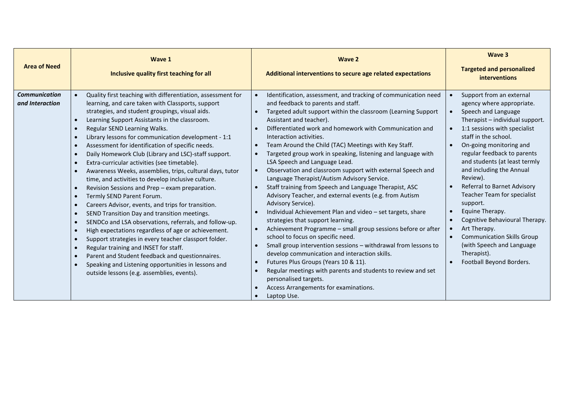| <b>Area of Need</b>                     | Wave 1<br>Inclusive quality first teaching for all                                                                                                                                                                                                                                                                                                                                                                                                                                                                                                                                                                                                                                                                                                                                                                                                                                                                                                                                                                                                                                                                                                                                                                                                                                                                                                                                                  | Wave 2<br>Additional interventions to secure age related expectations                                                                                                                                                                                                                                                                                                                                                                                                                                                                                                                                                                                                                                                                                                                                                                                                                                                                                                                                                                                                                                                                                                                                                                                                                                                  | Wave 3<br><b>Targeted and personalized</b><br><b>interventions</b>                                                                                                                                                                                                                                                                                                                                                                                                                                                                                                                                                                                                                          |
|-----------------------------------------|-----------------------------------------------------------------------------------------------------------------------------------------------------------------------------------------------------------------------------------------------------------------------------------------------------------------------------------------------------------------------------------------------------------------------------------------------------------------------------------------------------------------------------------------------------------------------------------------------------------------------------------------------------------------------------------------------------------------------------------------------------------------------------------------------------------------------------------------------------------------------------------------------------------------------------------------------------------------------------------------------------------------------------------------------------------------------------------------------------------------------------------------------------------------------------------------------------------------------------------------------------------------------------------------------------------------------------------------------------------------------------------------------------|------------------------------------------------------------------------------------------------------------------------------------------------------------------------------------------------------------------------------------------------------------------------------------------------------------------------------------------------------------------------------------------------------------------------------------------------------------------------------------------------------------------------------------------------------------------------------------------------------------------------------------------------------------------------------------------------------------------------------------------------------------------------------------------------------------------------------------------------------------------------------------------------------------------------------------------------------------------------------------------------------------------------------------------------------------------------------------------------------------------------------------------------------------------------------------------------------------------------------------------------------------------------------------------------------------------------|---------------------------------------------------------------------------------------------------------------------------------------------------------------------------------------------------------------------------------------------------------------------------------------------------------------------------------------------------------------------------------------------------------------------------------------------------------------------------------------------------------------------------------------------------------------------------------------------------------------------------------------------------------------------------------------------|
| <b>Communication</b><br>and Interaction | Quality first teaching with differentiation, assessment for<br>$\bullet$<br>learning, and care taken with Classports, support<br>strategies, and student groupings, visual aids.<br>Learning Support Assistants in the classroom.<br>$\bullet$<br>Regular SEND Learning Walks.<br>$\bullet$<br>Library lessons for communication development - 1:1<br>$\bullet$<br>Assessment for identification of specific needs.<br>$\bullet$<br>Daily Homework Club (Library and LSC)-staff support.<br>$\bullet$<br>Extra-curricular activities (see timetable).<br>$\bullet$<br>Awareness Weeks, assemblies, trips, cultural days, tutor<br>$\bullet$<br>time, and activities to develop inclusive culture.<br>Revision Sessions and Prep - exam preparation.<br>$\bullet$<br>Termly SEND Parent Forum.<br>$\bullet$<br>Careers Advisor, events, and trips for transition.<br>$\bullet$<br>SEND Transition Day and transition meetings.<br>$\bullet$<br>SENDCo and LSA observations, referrals, and follow-up.<br>$\bullet$<br>High expectations regardless of age or achievement.<br>$\bullet$<br>Support strategies in every teacher classport folder.<br>$\bullet$<br>Regular training and INSET for staff.<br>$\bullet$<br>Parent and Student feedback and questionnaires.<br>$\bullet$<br>Speaking and Listening opportunities in lessons and<br>$\bullet$<br>outside lessons (e.g. assemblies, events). | Identification, assessment, and tracking of communication need<br>and feedback to parents and staff.<br>Targeted adult support within the classroom (Learning Support<br>Assistant and teacher).<br>Differentiated work and homework with Communication and<br>Interaction activities.<br>Team Around the Child (TAC) Meetings with Key Staff.<br>$\bullet$<br>Targeted group work in speaking, listening and language with<br>$\bullet$<br>LSA Speech and Language Lead.<br>Observation and classroom support with external Speech and<br>$\bullet$<br>Language Therapist/Autism Advisory Service.<br>Staff training from Speech and Language Therapist, ASC<br>$\bullet$<br>Advisory Teacher, and external events (e.g. from Autism<br>Advisory Service).<br>Individual Achievement Plan and video - set targets, share<br>strategies that support learning.<br>Achievement Programme - small group sessions before or after<br>$\bullet$<br>school to focus on specific need.<br>Small group intervention sessions - withdrawal from lessons to<br>develop communication and interaction skills.<br>Futures Plus Groups (Years 10 & 11).<br>$\bullet$<br>Regular meetings with parents and students to review and set<br>$\bullet$<br>personalised targets.<br>Access Arrangements for examinations.<br>Laptop Use. | Support from an external<br>agency where appropriate.<br>Speech and Language<br>$\bullet$<br>Therapist - individual support.<br>1:1 sessions with specialist<br>$\bullet$<br>staff in the school.<br>On-going monitoring and<br>$\bullet$<br>regular feedback to parents<br>and students (at least termly<br>and including the Annual<br>Review).<br>Referral to Barnet Advisory<br>$\bullet$<br>Teacher Team for specialist<br>support.<br>Equine Therapy.<br>$\bullet$<br>Cognitive Behavioural Therapy.<br>$\bullet$<br>Art Therapy.<br>$\bullet$<br><b>Communication Skills Group</b><br>$\bullet$<br>(with Speech and Language<br>Therapist).<br>Football Beyond Borders.<br>$\bullet$ |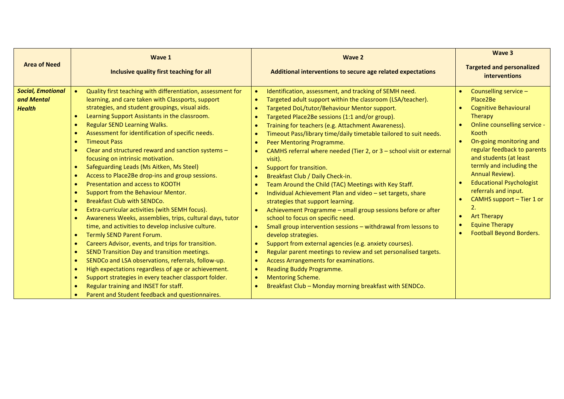| <b>Area of Need</b>                                     | Wave 1<br>Inclusive quality first teaching for all                                                                                                                                                                                                                                                                                                                                                                                                                                                                                                                                                                                                                                                                                                                                                                                                                                                                                                                                                                                                                                                                                                                                                                                                                                                                                                                                                                                                                                                  | Wave 2<br>Additional interventions to secure age related expectations                                                                                                                                                                                                                                                                                                                                                                                                                                                                                                                                                                                                                                                                                                                                                                                                                                                                                                                                                                                                                                                                                                                                                                                                                                                                                                                                    | Wave 3<br><b>Targeted and personalized</b><br><b>interventions</b>                                                                                                                                                                                                                                                                                                                                                                                                                    |
|---------------------------------------------------------|-----------------------------------------------------------------------------------------------------------------------------------------------------------------------------------------------------------------------------------------------------------------------------------------------------------------------------------------------------------------------------------------------------------------------------------------------------------------------------------------------------------------------------------------------------------------------------------------------------------------------------------------------------------------------------------------------------------------------------------------------------------------------------------------------------------------------------------------------------------------------------------------------------------------------------------------------------------------------------------------------------------------------------------------------------------------------------------------------------------------------------------------------------------------------------------------------------------------------------------------------------------------------------------------------------------------------------------------------------------------------------------------------------------------------------------------------------------------------------------------------------|----------------------------------------------------------------------------------------------------------------------------------------------------------------------------------------------------------------------------------------------------------------------------------------------------------------------------------------------------------------------------------------------------------------------------------------------------------------------------------------------------------------------------------------------------------------------------------------------------------------------------------------------------------------------------------------------------------------------------------------------------------------------------------------------------------------------------------------------------------------------------------------------------------------------------------------------------------------------------------------------------------------------------------------------------------------------------------------------------------------------------------------------------------------------------------------------------------------------------------------------------------------------------------------------------------------------------------------------------------------------------------------------------------|---------------------------------------------------------------------------------------------------------------------------------------------------------------------------------------------------------------------------------------------------------------------------------------------------------------------------------------------------------------------------------------------------------------------------------------------------------------------------------------|
| <b>Social, Emotional</b><br>and Mental<br><b>Health</b> | Quality first teaching with differentiation, assessment for<br>$\bullet$<br>learning, and care taken with Classports, support<br>strategies, and student groupings, visual aids.<br>Learning Support Assistants in the classroom.<br>$\bullet$<br><b>Regular SEND Learning Walks.</b><br>$\bullet$<br>Assessment for identification of specific needs.<br>$\bullet$<br><b>Timeout Pass</b><br>$\bullet$<br>Clear and structured reward and sanction systems -<br>$\bullet$<br>focusing on intrinsic motivation.<br>Safeguarding Leads (Ms Aitken, Ms Steel)<br>$\bullet$<br>Access to Place2Be drop-ins and group sessions.<br>$\bullet$<br>Presentation and access to KOOTH<br>$\bullet$<br>Support from the Behaviour Mentor.<br>$\bullet$<br>Breakfast Club with SENDCo.<br>$\bullet$<br>Extra-curricular activities (with SEMH focus).<br>$\bullet$<br>Awareness Weeks, assemblies, trips, cultural days, tutor<br>$\bullet$<br>time, and activities to develop inclusive culture.<br>Termly SEND Parent Forum.<br>$\bullet$<br>Careers Advisor, events, and trips for transition.<br>$\bullet$<br>SEND Transition Day and transition meetings.<br>$\bullet$<br>SENDCo and LSA observations, referrals, follow-up.<br>$\bullet$<br>High expectations regardless of age or achievement.<br>$\bullet$<br>Support strategies in every teacher classport folder.<br>$\bullet$<br>Regular training and INSET for staff.<br>$\bullet$<br>Parent and Student feedback and questionnaires.<br>$\bullet$ | Identification, assessment, and tracking of SEMH need.<br>Targeted adult support within the classroom (LSA/teacher).<br>$\bullet$<br>Targeted DoL/tutor/Behaviour Mentor support.<br>$\bullet$<br>Targeted Place2Be sessions (1:1 and/or group).<br>$\bullet$<br>Training for teachers (e.g. Attachment Awareness).<br>Timeout Pass/library time/daily timetable tailored to suit needs.<br>$\bullet$<br>Peer Mentoring Programme.<br>$\bullet$<br>CAMHS referral where needed (Tier 2, or 3 - school visit or external<br>$\bullet$<br>visit).<br>Support for transition.<br>$\bullet$<br>Breakfast Club / Daily Check-in.<br>$\bullet$<br>Team Around the Child (TAC) Meetings with Key Staff.<br>$\bullet$<br>Individual Achievement Plan and video - set targets, share<br>$\bullet$<br>strategies that support learning.<br>Achievement Programme - small group sessions before or after<br>school to focus on specific need.<br>Small group intervention sessions - withdrawal from lessons to<br>$\bullet$<br>develop strategies.<br>Support from external agencies (e.g. anxiety courses).<br>$\bullet$<br>Regular parent meetings to review and set personalised targets.<br>$\bullet$<br>Access Arrangements for examinations.<br>$\bullet$<br><b>Reading Buddy Programme.</b><br>$\bullet$<br><b>Mentoring Scheme.</b><br>$\bullet$<br>Breakfast Club - Monday morning breakfast with SENDCo. | Counselling service -<br>Place2Be<br><b>Cognitive Behavioural</b><br>$\bullet$<br>Therapy<br>Online counselling service -<br>Kooth<br>On-going monitoring and<br>$\bullet$<br>regular feedback to parents<br>and students (at least<br>termly and including the<br>Annual Review).<br><b>Educational Psychologist</b><br>referrals and input.<br>CAMHS support - Tier 1 or<br>$\overline{2}$ .<br><b>Art Therapy</b><br>۰<br><b>Equine Therapy</b><br><b>Football Beyond Borders.</b> |